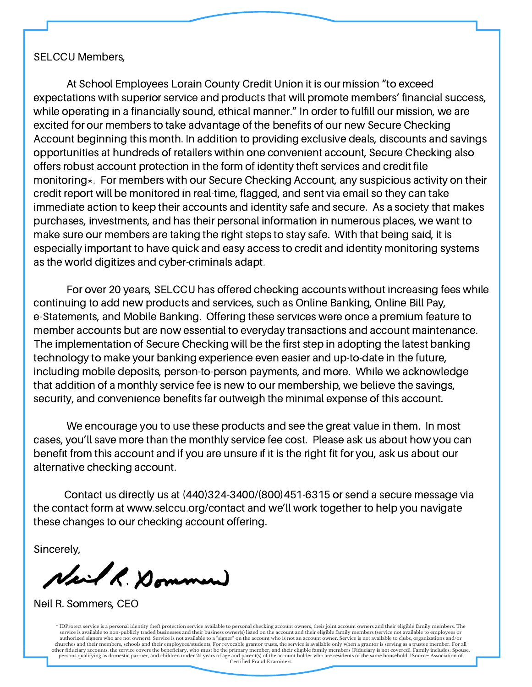#### SELCCU Members,

At School Employees Lorain County Credit Union it is our mission "to exceed expectations with superior service and products that will promote members' financial success, while operating in a financially sound, ethical manner." In order to fulfill our mission, we are excited for our members to take advantage of the benefits of our new Secure Checking Account beginning this month. In addition to providing exclusive deals, discounts and savings opportunities at hundreds of retailers within one convenient account, Secure Checking also offers robust account protection in the form of identity theft services and credit file monitoring \*. For members with our Secure Checking Account, any suspicious activity on their credit report will be monitored in real-time, flagged, and sent via email so they can take immediate action to keep their accounts and identity safe and secure. As a society that makes purchases, investments, and has their personal information in numerous places, we want to make sure our members are taking the right steps to stay safe. With that being said, it is especially important to have quick and easy access to credit and identity monitoring systems as the world digitizes and cyber-criminals adapt.

For over 20 years, SELCCU has offered checking accounts without increasing fees while continuing to add new products and services, such as Online Banking, Online Bill Pay, e-Statements, and Mobile Banking. Offering these services were once a premium feature to member accounts but are now essential to everyday transactions and account maintenance. The implementation of Secure Checking will be the first step in adopting the latest banking technology to make your banking experience even easier and up-to-date in the future, including mobile deposits, person-to-person payments, and more. While we acknowledge that addition of a monthly service fee is new to our membership, we believe the savings, security, and convenience benefits far outweigh the minimal expense of this account.

We encourage you to use these products and see the great value in them. In most cases, you'll save more than the monthly service fee cost. Please ask us about how you can benefit from this account and if you are unsure if it is the right fit for you, ask us about our alternative checking account.

Contact us directly us at (440)324-3400/(800)451-6315 or send a secure message via the contact form at www.selccu.org/contact and we'll work together to help you navigate these changes to our checking account offering.

Sincerely,

Neil R. Dommen

Neil R. Sommers, CEO

persons qualifying as domestic partner, and children under 25 years of age and parent(s) of the account holder who are residents of the same household. ISource: Association of Certified Fraud Examiners \* IDProtect service is a personal identity theft protection service available to personal checking account owners, their joint account owners and their eligible family members. The<br>service is available to non-publicly trad authorized signers who are not owners). Service is not available to a "signer" on the account who is not an account owner. Service is not available to clubs, organizations and/or abuthors, schools and their employees/stude other fiduciary accounts, the service covers the beneficiary, who must be the primary member, and their eligible family members (Fiduciary is not covered). Family includes: Spouse, Certified Fraud Examiners

W W W . S E L C C U . O R G